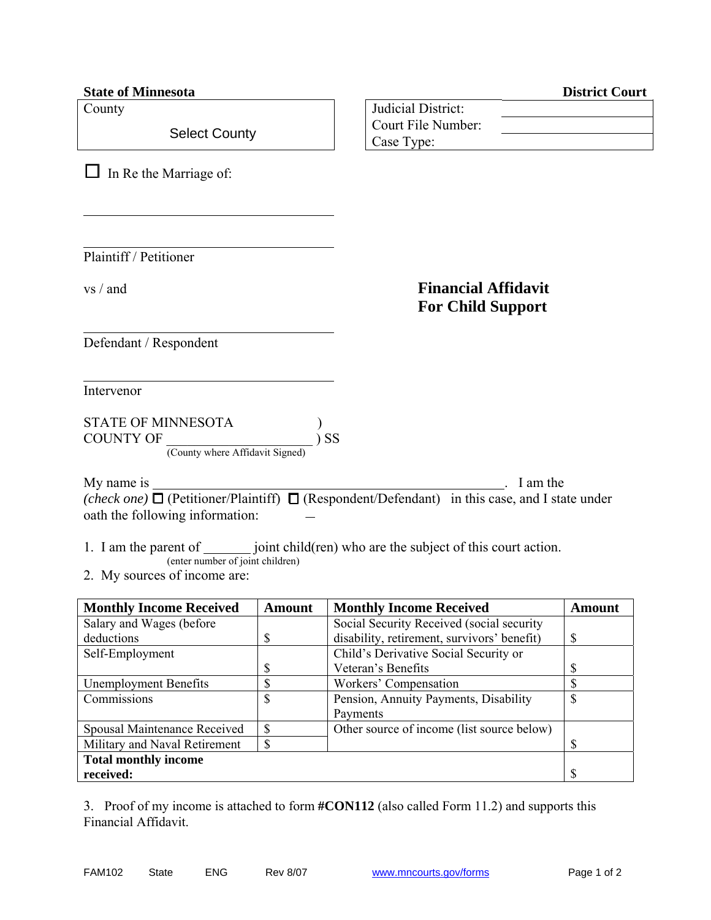| <b>State of Minnesota</b>                                                                                                                                | <b>District Court</b>                                  |
|----------------------------------------------------------------------------------------------------------------------------------------------------------|--------------------------------------------------------|
| County                                                                                                                                                   | Judicial District:                                     |
| <b>Select County</b>                                                                                                                                     | Court File Number:<br>Case Type:                       |
| In Re the Marriage of:                                                                                                                                   |                                                        |
|                                                                                                                                                          |                                                        |
| Plaintiff / Petitioner                                                                                                                                   |                                                        |
| vs / and                                                                                                                                                 | <b>Financial Affidavit</b><br><b>For Child Support</b> |
| Defendant / Respondent                                                                                                                                   |                                                        |
| Intervenor                                                                                                                                               |                                                        |
| STATE OF MINNESOTA<br>(County where Affidavit Signed)<br>SS<br><b>COUNTY OF</b>                                                                          |                                                        |
| My name is<br>(check one) $\Box$ (Petitioner/Plaintiff) $\Box$ (Respondent/Defendant) in this case, and I state under<br>oath the following information: | I am the                                               |

1. I am the parent of joint child(ren) who are the subject of this court action. (enter number of joint children)

2. My sources of income are:

| <b>Monthly Income Received</b> | <b>Amount</b> | <b>Monthly Income Received</b>              | <b>Amount</b> |
|--------------------------------|---------------|---------------------------------------------|---------------|
| Salary and Wages (before       |               | Social Security Received (social security   |               |
| deductions                     |               | disability, retirement, survivors' benefit) | \$            |
| Self-Employment                |               | Child's Derivative Social Security or       |               |
|                                |               | Veteran's Benefits                          | S             |
| <b>Unemployment Benefits</b>   |               | Workers' Compensation                       | ¢             |
| Commissions                    | \$            | Pension, Annuity Payments, Disability       | \$            |
|                                |               | Payments                                    |               |
| Spousal Maintenance Received   | S             | Other source of income (list source below)  |               |
| Military and Naval Retirement  | \$            |                                             |               |
| <b>Total monthly income</b>    |               |                                             |               |
| received:                      |               |                                             |               |

3. Proof of my income is attached to form **#CON112** (also called Form 11.2) and supports this Financial Affidavit.